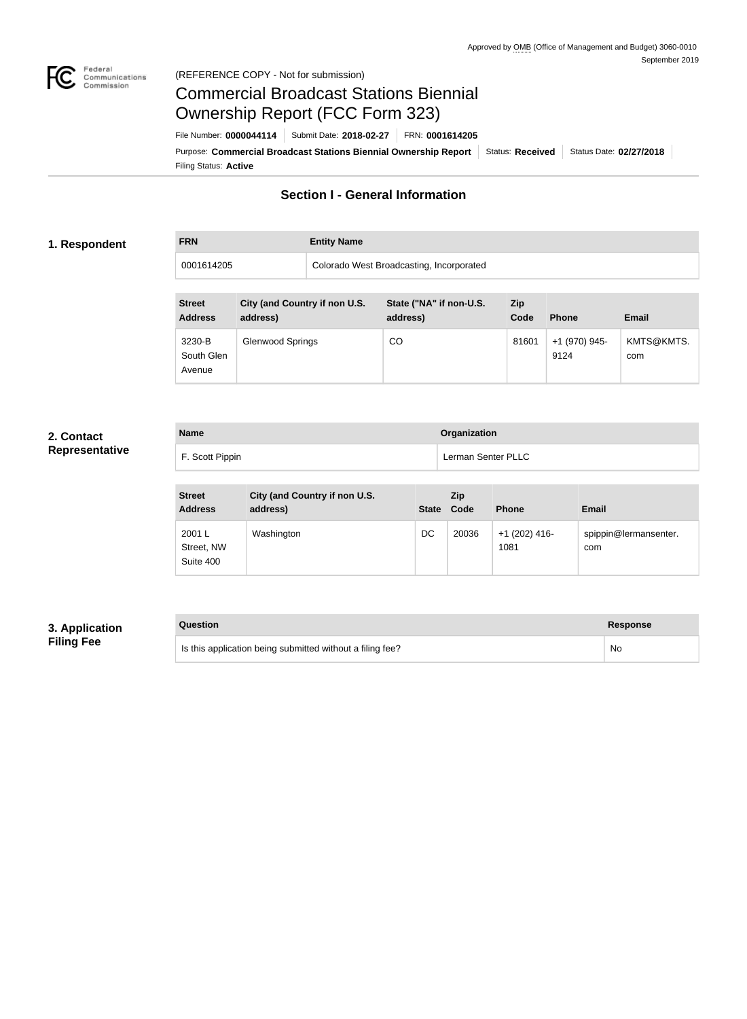

#### Federal<br>Communications<br>Commission (REFERENCE COPY - Not for submission)

# Commercial Broadcast Stations Biennial Ownership Report (FCC Form 323)

Filing Status: **Active** Purpose: Commercial Broadcast Stations Biennial Ownership Report Status: Received Status Date: 02/27/2018 File Number: **0000044114** Submit Date: **2018-02-27** FRN: **0001614205**

# **Section I - General Information**

#### **1. Respondent**

# **FRN Entity Name**

0001614205 Colorado West Broadcasting, Incorporated

| <b>Street</b><br><b>Address</b> | City (and Country if non U.S.<br>address) | State ("NA" if non-U.S.<br>address) | Zip<br>Code | <b>Phone</b>          | <b>Email</b>      |
|---------------------------------|-------------------------------------------|-------------------------------------|-------------|-----------------------|-------------------|
| 3230-B<br>South Glen<br>Avenue  | Glenwood Springs                          | CO                                  | 81601       | +1 (970) 945-<br>9124 | KMTS@KMTS.<br>com |

### **2. Contact Representative**

| <b>Name</b>     | Organization       |
|-----------------|--------------------|
| F. Scott Pippin | Lerman Senter PLLC |

| <b>Street</b><br><b>Address</b>   | City (and Country if non U.S.<br>address) |    | <b>Zip</b><br>State Code | <b>Phone</b>            | <b>Email</b>                 |
|-----------------------------------|-------------------------------------------|----|--------------------------|-------------------------|------------------------------|
| 2001 L<br>Street, NW<br>Suite 400 | Washington                                | DC | 20036                    | $+1$ (202) 416-<br>1081 | spippin@lermansenter.<br>com |

# **3. Application Filing Fee**

# **Question Response** Is this application being submitted without a filing fee? No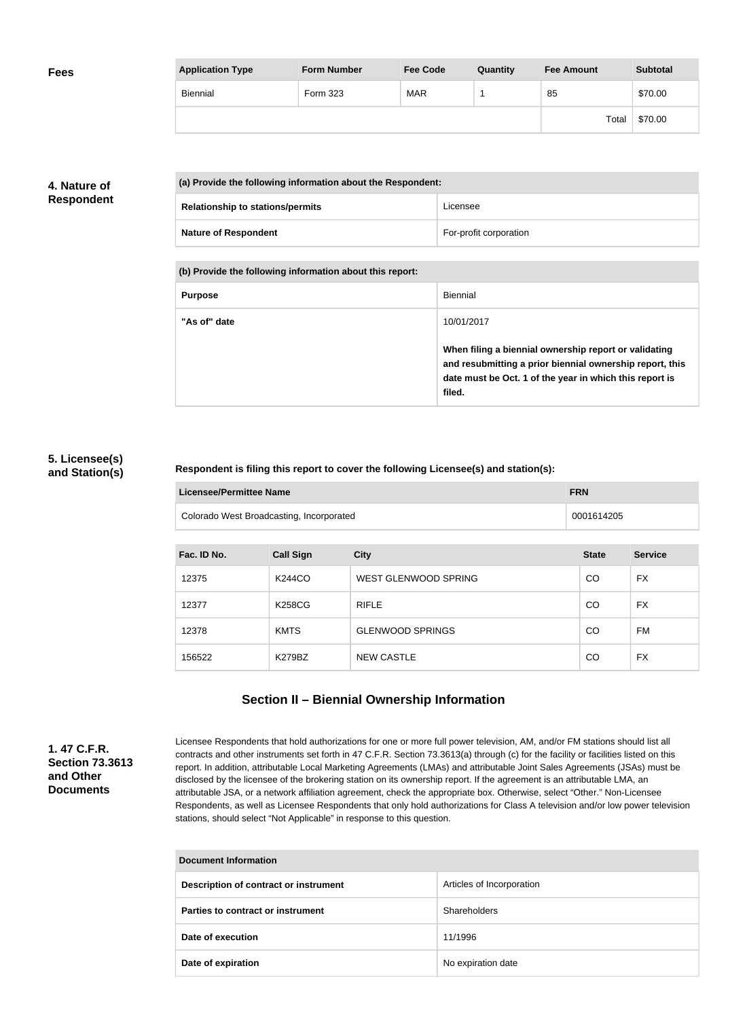| <b>Fees</b> | <b>Application Type</b> | <b>Form Number</b> | <b>Fee Code</b> | Quantity | <b>Fee Amount</b> | <b>Subtotal</b> |
|-------------|-------------------------|--------------------|-----------------|----------|-------------------|-----------------|
|             | Biennial                | Form 323           | <b>MAR</b>      |          | 85                | \$70.00         |
|             |                         |                    |                 |          | Total             | \$70.00         |

# **4. Nature of Respondent**

| (a) Provide the following information about the Respondent: |                        |
|-------------------------------------------------------------|------------------------|
| <b>Relationship to stations/permits</b>                     | Licensee               |
| <b>Nature of Respondent</b>                                 | For-profit corporation |

**(b) Provide the following information about this report:**

| <b>Purpose</b> | Biennial                                                                                                                                                                               |
|----------------|----------------------------------------------------------------------------------------------------------------------------------------------------------------------------------------|
| "As of" date   | 10/01/2017                                                                                                                                                                             |
|                | When filing a biennial ownership report or validating<br>and resubmitting a prior biennial ownership report, this<br>date must be Oct. 1 of the year in which this report is<br>filed. |

#### **5. Licensee(s) and Station(s)**

#### **Respondent is filing this report to cover the following Licensee(s) and station(s):**

| Licensee/Permittee Name                  | <b>FRN</b> |
|------------------------------------------|------------|
| Colorado West Broadcasting, Incorporated | 0001614205 |

| Fac. ID No. | <b>Call Sign</b> | <b>City</b>             | <b>State</b> | <b>Service</b> |
|-------------|------------------|-------------------------|--------------|----------------|
| 12375       | K244CO           | WEST GLENWOOD SPRING    | CO           | <b>FX</b>      |
| 12377       | <b>K258CG</b>    | <b>RIFLE</b>            | CO           | <b>FX</b>      |
| 12378       | <b>KMTS</b>      | <b>GLENWOOD SPRINGS</b> | CO           | <b>FM</b>      |
| 156522      | K279BZ           | <b>NEW CASTLE</b>       | CO           | <b>FX</b>      |

# **Section II – Biennial Ownership Information**

**1. 47 C.F.R. Section 73.3613 and Other Documents**

Licensee Respondents that hold authorizations for one or more full power television, AM, and/or FM stations should list all contracts and other instruments set forth in 47 C.F.R. Section 73.3613(a) through (c) for the facility or facilities listed on this report. In addition, attributable Local Marketing Agreements (LMAs) and attributable Joint Sales Agreements (JSAs) must be disclosed by the licensee of the brokering station on its ownership report. If the agreement is an attributable LMA, an attributable JSA, or a network affiliation agreement, check the appropriate box. Otherwise, select "Other." Non-Licensee Respondents, as well as Licensee Respondents that only hold authorizations for Class A television and/or low power television stations, should select "Not Applicable" in response to this question.

| <b>Document Information</b>           |                           |  |
|---------------------------------------|---------------------------|--|
| Description of contract or instrument | Articles of Incorporation |  |
| Parties to contract or instrument     | <b>Shareholders</b>       |  |
| Date of execution                     | 11/1996                   |  |
| Date of expiration                    | No expiration date        |  |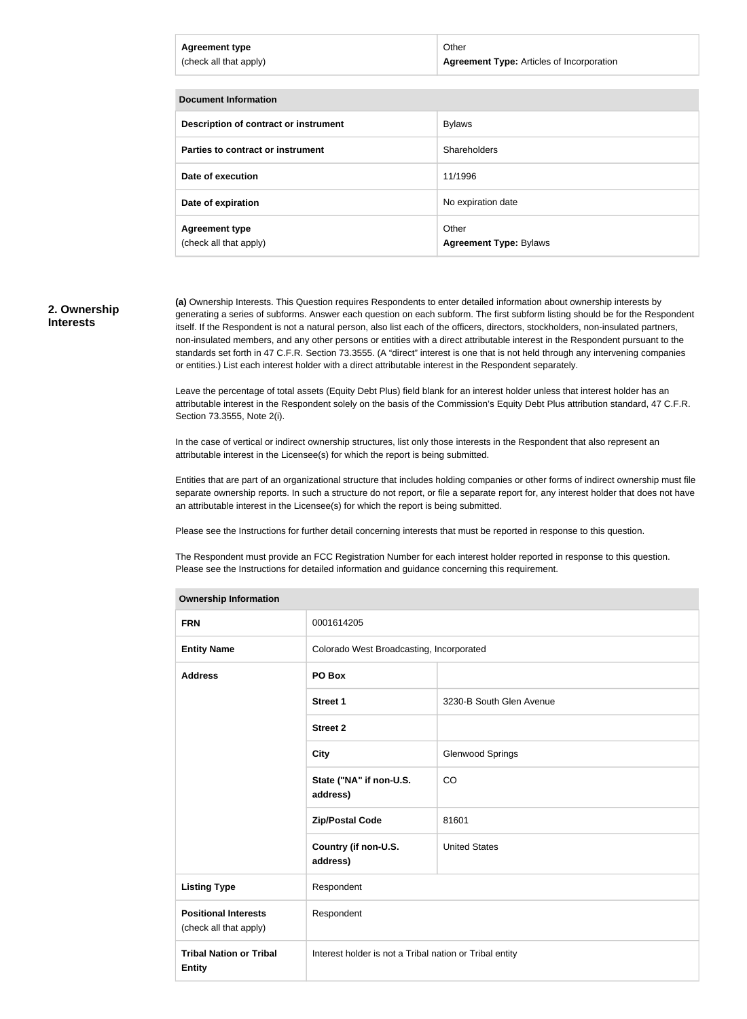| <b>Agreement type</b>       | Other                                            |
|-----------------------------|--------------------------------------------------|
| (check all that apply)      | <b>Agreement Type: Articles of Incorporation</b> |
| <b>Document Information</b> |                                                  |
|                             |                                                  |

| Description of contract or instrument           | <b>Bylaws</b>                          |
|-------------------------------------------------|----------------------------------------|
| Parties to contract or instrument               | Shareholders                           |
| Date of execution                               | 11/1996                                |
| Date of expiration                              | No expiration date                     |
| <b>Agreement type</b><br>(check all that apply) | Other<br><b>Agreement Type: Bylaws</b> |

#### **2. Ownership Interests**

**(a)** Ownership Interests. This Question requires Respondents to enter detailed information about ownership interests by generating a series of subforms. Answer each question on each subform. The first subform listing should be for the Respondent itself. If the Respondent is not a natural person, also list each of the officers, directors, stockholders, non-insulated partners, non-insulated members, and any other persons or entities with a direct attributable interest in the Respondent pursuant to the standards set forth in 47 C.F.R. Section 73.3555. (A "direct" interest is one that is not held through any intervening companies or entities.) List each interest holder with a direct attributable interest in the Respondent separately.

Leave the percentage of total assets (Equity Debt Plus) field blank for an interest holder unless that interest holder has an attributable interest in the Respondent solely on the basis of the Commission's Equity Debt Plus attribution standard, 47 C.F.R. Section 73.3555, Note 2(i).

In the case of vertical or indirect ownership structures, list only those interests in the Respondent that also represent an attributable interest in the Licensee(s) for which the report is being submitted.

Entities that are part of an organizational structure that includes holding companies or other forms of indirect ownership must file separate ownership reports. In such a structure do not report, or file a separate report for, any interest holder that does not have an attributable interest in the Licensee(s) for which the report is being submitted.

Please see the Instructions for further detail concerning interests that must be reported in response to this question.

The Respondent must provide an FCC Registration Number for each interest holder reported in response to this question. Please see the Instructions for detailed information and guidance concerning this requirement.

| <b>Ownership Information</b>                          |                                                         |                          |  |
|-------------------------------------------------------|---------------------------------------------------------|--------------------------|--|
| <b>FRN</b>                                            | 0001614205                                              |                          |  |
| <b>Entity Name</b>                                    | Colorado West Broadcasting, Incorporated                |                          |  |
| <b>Address</b>                                        | PO Box                                                  |                          |  |
|                                                       | <b>Street 1</b>                                         | 3230-B South Glen Avenue |  |
|                                                       | <b>Street 2</b>                                         |                          |  |
|                                                       | <b>City</b>                                             | <b>Glenwood Springs</b>  |  |
|                                                       | State ("NA" if non-U.S.<br>address)                     | CO                       |  |
|                                                       | <b>Zip/Postal Code</b>                                  | 81601                    |  |
|                                                       | Country (if non-U.S.<br>address)                        | <b>United States</b>     |  |
| <b>Listing Type</b>                                   | Respondent                                              |                          |  |
| <b>Positional Interests</b><br>(check all that apply) | Respondent                                              |                          |  |
| <b>Tribal Nation or Tribal</b><br><b>Entity</b>       | Interest holder is not a Tribal nation or Tribal entity |                          |  |
|                                                       |                                                         |                          |  |

#### **Ownership Information**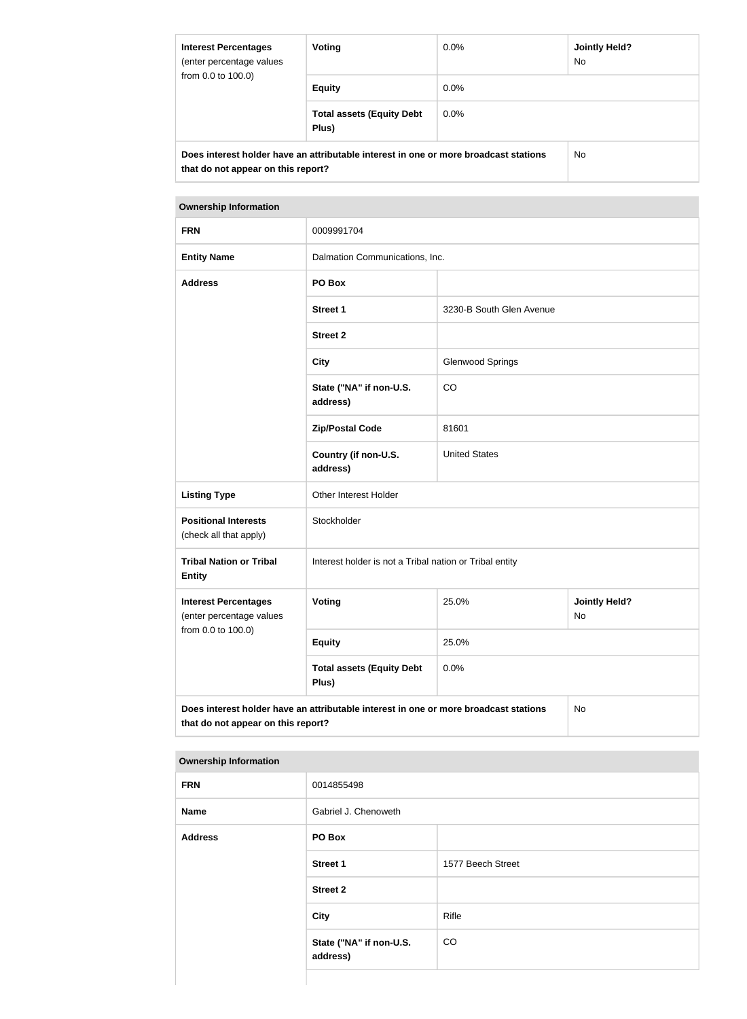| <b>Interest Percentages</b><br>(enter percentage values<br>from 0.0 to 100.0)                                              | Voting                                    | $0.0\%$ | Jointly Held?<br><b>No</b> |
|----------------------------------------------------------------------------------------------------------------------------|-------------------------------------------|---------|----------------------------|
|                                                                                                                            | <b>Equity</b>                             | $0.0\%$ |                            |
|                                                                                                                            | <b>Total assets (Equity Debt</b><br>Plus) | $0.0\%$ |                            |
| Does interest holder have an attributable interest in one or more broadcast stations<br>that do not appear on this report? |                                           |         | No.                        |

#### **Ownership Information**

| <b>FRN</b>                                                                                                                       | 0009991704                                              |                          |                            |
|----------------------------------------------------------------------------------------------------------------------------------|---------------------------------------------------------|--------------------------|----------------------------|
| <b>Entity Name</b>                                                                                                               | Dalmation Communications, Inc.                          |                          |                            |
| <b>Address</b>                                                                                                                   | PO Box                                                  |                          |                            |
|                                                                                                                                  | <b>Street 1</b>                                         | 3230-B South Glen Avenue |                            |
|                                                                                                                                  | <b>Street 2</b>                                         |                          |                            |
|                                                                                                                                  | <b>City</b>                                             | <b>Glenwood Springs</b>  |                            |
|                                                                                                                                  | State ("NA" if non-U.S.<br>address)                     | CO                       |                            |
|                                                                                                                                  | <b>Zip/Postal Code</b>                                  | 81601                    |                            |
|                                                                                                                                  | Country (if non-U.S.<br>address)                        | <b>United States</b>     |                            |
| <b>Listing Type</b>                                                                                                              | Other Interest Holder                                   |                          |                            |
| <b>Positional Interests</b><br>(check all that apply)                                                                            | Stockholder                                             |                          |                            |
| <b>Tribal Nation or Tribal</b><br><b>Entity</b>                                                                                  | Interest holder is not a Tribal nation or Tribal entity |                          |                            |
| <b>Interest Percentages</b><br>(enter percentage values                                                                          | Voting                                                  | 25.0%                    | <b>Jointly Held?</b><br>No |
| from 0.0 to 100.0)                                                                                                               | <b>Equity</b>                                           | 25.0%                    |                            |
|                                                                                                                                  | <b>Total assets (Equity Debt</b><br>Plus)               | 0.0%                     |                            |
| Does interest holder have an attributable interest in one or more broadcast stations<br>No<br>that do not appear on this report? |                                                         |                          |                            |

**Ownership Information**

| ווטוומונוטוווען קווופוסודאט |                                     |                   |  |
|-----------------------------|-------------------------------------|-------------------|--|
| <b>FRN</b>                  | 0014855498                          |                   |  |
| <b>Name</b>                 | Gabriel J. Chenoweth                |                   |  |
| <b>Address</b>              | PO Box                              |                   |  |
|                             | <b>Street 1</b>                     | 1577 Beech Street |  |
|                             | <b>Street 2</b>                     |                   |  |
|                             | City                                | Rifle             |  |
|                             | State ("NA" if non-U.S.<br>address) | CO                |  |
|                             |                                     |                   |  |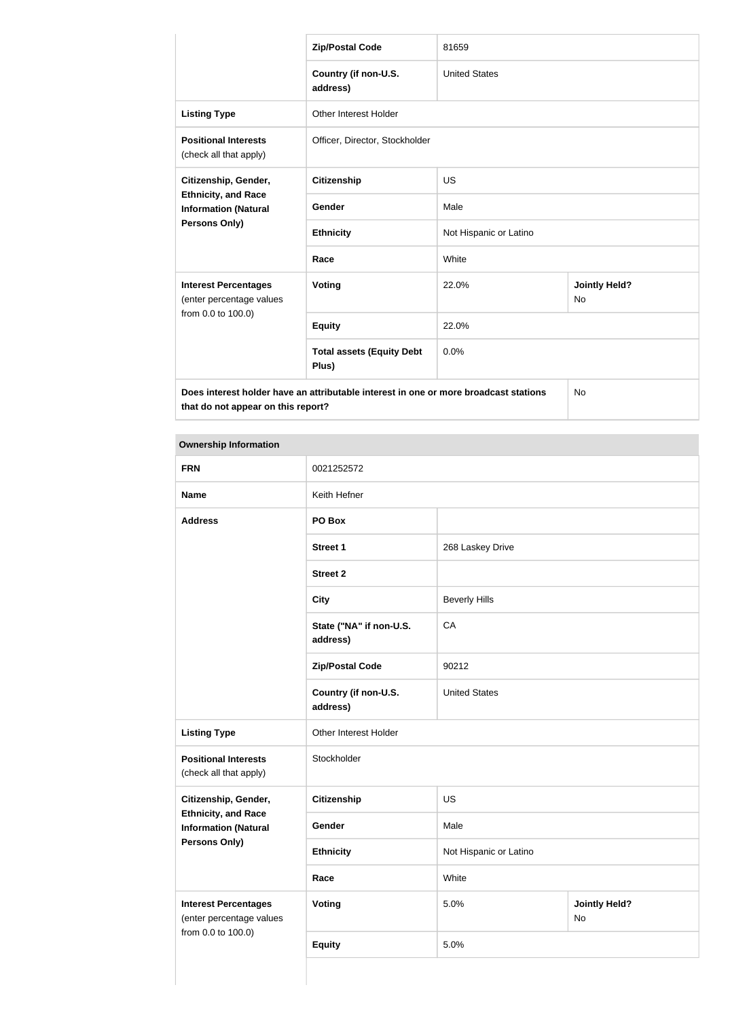|                                                                                      | <b>Zip/Postal Code</b>                    | 81659                  |                                   |
|--------------------------------------------------------------------------------------|-------------------------------------------|------------------------|-----------------------------------|
|                                                                                      | Country (if non-U.S.<br>address)          | <b>United States</b>   |                                   |
| <b>Listing Type</b>                                                                  | <b>Other Interest Holder</b>              |                        |                                   |
| <b>Positional Interests</b><br>(check all that apply)                                | Officer, Director, Stockholder            |                        |                                   |
| Citizenship, Gender,<br><b>Ethnicity, and Race</b><br><b>Information (Natural</b>    | <b>Citizenship</b>                        | <b>US</b>              |                                   |
|                                                                                      | Gender                                    | Male                   |                                   |
| <b>Persons Only)</b>                                                                 | <b>Ethnicity</b>                          | Not Hispanic or Latino |                                   |
|                                                                                      | Race                                      | White                  |                                   |
| <b>Interest Percentages</b><br>(enter percentage values                              | <b>Voting</b>                             | 22.0%                  | <b>Jointly Held?</b><br><b>No</b> |
| from 0.0 to 100.0)                                                                   | <b>Equity</b>                             | 22.0%                  |                                   |
|                                                                                      | <b>Total assets (Equity Debt</b><br>Plus) | 0.0%                   |                                   |
| Does interest holder have an attributable interest in one or more broadcast stations |                                           | <b>No</b>              |                                   |

**that do not appear on this report?**

| <b>Ownership Information</b>                                                  |                                     |                                    |  |
|-------------------------------------------------------------------------------|-------------------------------------|------------------------------------|--|
| <b>FRN</b>                                                                    | 0021252572                          |                                    |  |
| <b>Name</b>                                                                   | Keith Hefner                        |                                    |  |
| <b>Address</b>                                                                | PO Box                              |                                    |  |
|                                                                               | <b>Street 1</b>                     | 268 Laskey Drive                   |  |
|                                                                               | <b>Street 2</b>                     |                                    |  |
|                                                                               | <b>City</b>                         | <b>Beverly Hills</b>               |  |
|                                                                               | State ("NA" if non-U.S.<br>address) | CA                                 |  |
|                                                                               | <b>Zip/Postal Code</b>              | 90212                              |  |
|                                                                               | Country (if non-U.S.<br>address)    | <b>United States</b>               |  |
| <b>Listing Type</b>                                                           | Other Interest Holder               |                                    |  |
| <b>Positional Interests</b><br>(check all that apply)                         | Stockholder                         |                                    |  |
| Citizenship, Gender,                                                          | <b>Citizenship</b>                  | <b>US</b>                          |  |
| <b>Ethnicity, and Race</b><br><b>Information (Natural</b>                     | Gender                              | Male                               |  |
| Persons Only)                                                                 | <b>Ethnicity</b>                    | Not Hispanic or Latino             |  |
|                                                                               | Race                                | White                              |  |
| <b>Interest Percentages</b><br>(enter percentage values<br>from 0.0 to 100.0) | <b>Voting</b>                       | 5.0%<br><b>Jointly Held?</b><br>No |  |

**Equity** 5.0%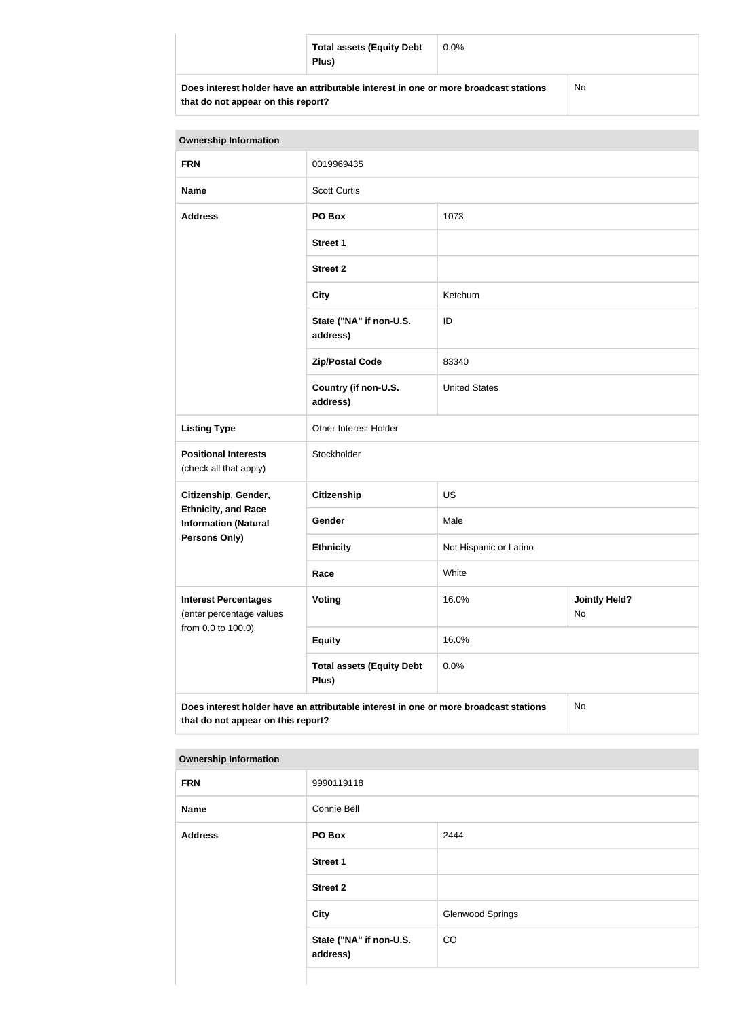| <b>Total assets (Equity Debt</b><br>Plus)                                            | $0.0\%$ |    |
|--------------------------------------------------------------------------------------|---------|----|
| Does interest holder have an attributable interest in one or more broadcast stations |         | No |

**that do not appear on this report?**

| <b>Ownership Information</b>                                                                                                     |                                           |                                     |  |
|----------------------------------------------------------------------------------------------------------------------------------|-------------------------------------------|-------------------------------------|--|
| <b>FRN</b>                                                                                                                       | 0019969435                                |                                     |  |
| <b>Name</b>                                                                                                                      | <b>Scott Curtis</b>                       |                                     |  |
| <b>Address</b>                                                                                                                   | PO Box                                    | 1073                                |  |
|                                                                                                                                  | Street 1                                  |                                     |  |
|                                                                                                                                  | <b>Street 2</b>                           |                                     |  |
|                                                                                                                                  | <b>City</b>                               | Ketchum                             |  |
|                                                                                                                                  | State ("NA" if non-U.S.<br>address)       | ID                                  |  |
|                                                                                                                                  | <b>Zip/Postal Code</b>                    | 83340                               |  |
|                                                                                                                                  | Country (if non-U.S.<br>address)          | <b>United States</b>                |  |
| <b>Listing Type</b>                                                                                                              | Other Interest Holder                     |                                     |  |
| <b>Positional Interests</b><br>(check all that apply)                                                                            | Stockholder                               |                                     |  |
| Citizenship, Gender,                                                                                                             | <b>Citizenship</b>                        | <b>US</b>                           |  |
| <b>Ethnicity, and Race</b><br><b>Information (Natural</b>                                                                        | Gender                                    | Male                                |  |
| <b>Persons Only)</b>                                                                                                             | <b>Ethnicity</b>                          | Not Hispanic or Latino              |  |
|                                                                                                                                  | Race                                      | White                               |  |
| <b>Interest Percentages</b><br>(enter percentage values                                                                          | <b>Voting</b>                             | 16.0%<br><b>Jointly Held?</b><br>No |  |
| from 0.0 to 100.0)                                                                                                               | <b>Equity</b>                             | 16.0%                               |  |
|                                                                                                                                  | <b>Total assets (Equity Debt</b><br>Plus) | 0.0%                                |  |
| Does interest holder have an attributable interest in one or more broadcast stations<br>No<br>that do not appear on this report? |                                           |                                     |  |

| <b>FRN</b>     | 9990119118                          |                         |
|----------------|-------------------------------------|-------------------------|
| <b>Name</b>    | Connie Bell                         |                         |
| <b>Address</b> | PO Box                              | 2444                    |
|                | <b>Street 1</b>                     |                         |
|                | <b>Street 2</b>                     |                         |
|                | <b>City</b>                         | <b>Glenwood Springs</b> |
|                | State ("NA" if non-U.S.<br>address) | CO                      |
|                |                                     |                         |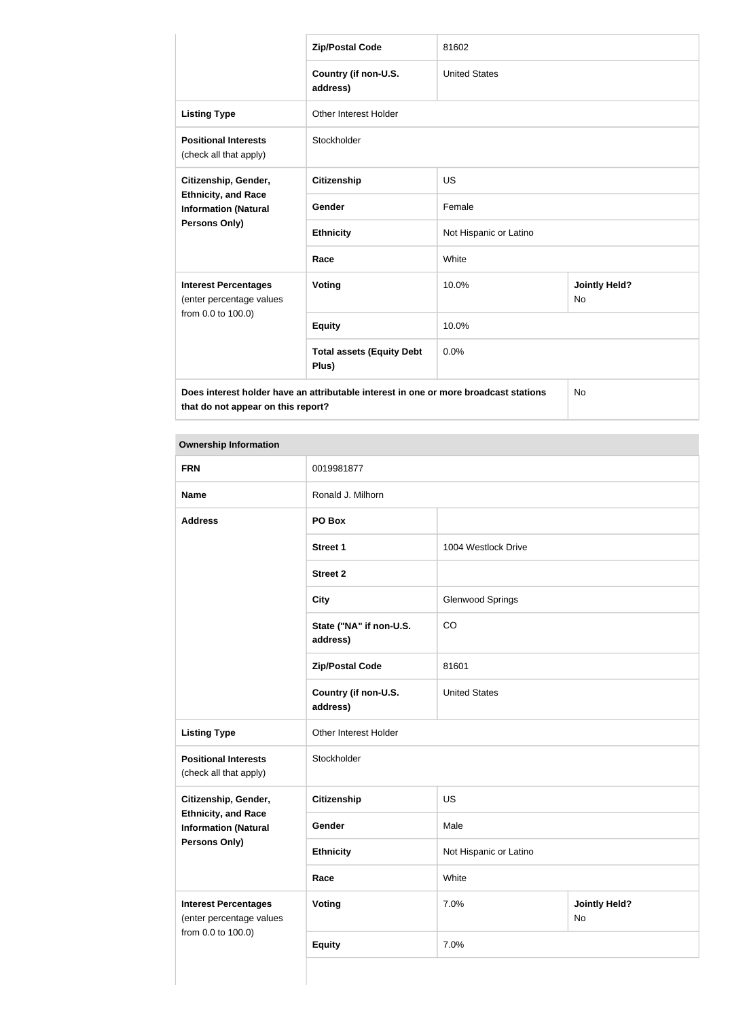|                                                                                      | <b>Zip/Postal Code</b>                    | 81602                  |                                   |
|--------------------------------------------------------------------------------------|-------------------------------------------|------------------------|-----------------------------------|
|                                                                                      | Country (if non-U.S.<br>address)          | <b>United States</b>   |                                   |
| <b>Listing Type</b>                                                                  | Other Interest Holder                     |                        |                                   |
| <b>Positional Interests</b><br>(check all that apply)                                | Stockholder                               |                        |                                   |
| Citizenship, Gender,<br><b>Ethnicity, and Race</b><br><b>Information (Natural</b>    | <b>Citizenship</b>                        | <b>US</b>              |                                   |
|                                                                                      | Gender                                    | Female                 |                                   |
| <b>Persons Only)</b>                                                                 | <b>Ethnicity</b>                          | Not Hispanic or Latino |                                   |
|                                                                                      | Race                                      | White                  |                                   |
| <b>Interest Percentages</b><br>(enter percentage values                              | Voting                                    | 10.0%                  | <b>Jointly Held?</b><br><b>No</b> |
| from 0.0 to 100.0)                                                                   | <b>Equity</b>                             | 10.0%                  |                                   |
|                                                                                      | <b>Total assets (Equity Debt</b><br>Plus) | 0.0%                   |                                   |
| Does interest holder have an attributable interest in one or more broadcast stations |                                           | <b>No</b>              |                                   |

**that do not appear on this report?**

| <b>Ownership Information</b>                                                  |                                     |                         |                            |
|-------------------------------------------------------------------------------|-------------------------------------|-------------------------|----------------------------|
| <b>FRN</b>                                                                    | 0019981877                          |                         |                            |
| <b>Name</b>                                                                   | Ronald J. Milhorn                   |                         |                            |
| <b>Address</b>                                                                | PO Box                              |                         |                            |
|                                                                               | <b>Street 1</b>                     | 1004 Westlock Drive     |                            |
|                                                                               | <b>Street 2</b>                     |                         |                            |
|                                                                               | <b>City</b>                         | <b>Glenwood Springs</b> |                            |
|                                                                               | State ("NA" if non-U.S.<br>address) | CO                      |                            |
|                                                                               | <b>Zip/Postal Code</b>              | 81601                   |                            |
|                                                                               | Country (if non-U.S.<br>address)    | <b>United States</b>    |                            |
| <b>Listing Type</b>                                                           | Other Interest Holder               |                         |                            |
| <b>Positional Interests</b><br>(check all that apply)                         | Stockholder                         |                         |                            |
| Citizenship, Gender,                                                          | <b>Citizenship</b>                  | US                      |                            |
| <b>Ethnicity, and Race</b><br><b>Information (Natural</b>                     | Gender                              | Male                    |                            |
| <b>Persons Only)</b>                                                          | <b>Ethnicity</b>                    | Not Hispanic or Latino  |                            |
|                                                                               | Race                                | White                   |                            |
| <b>Interest Percentages</b><br>(enter percentage values<br>from 0.0 to 100.0) | <b>Voting</b>                       | 7.0%                    | <b>Jointly Held?</b><br>No |
|                                                                               | <b>Equity</b>                       | 7.0%                    |                            |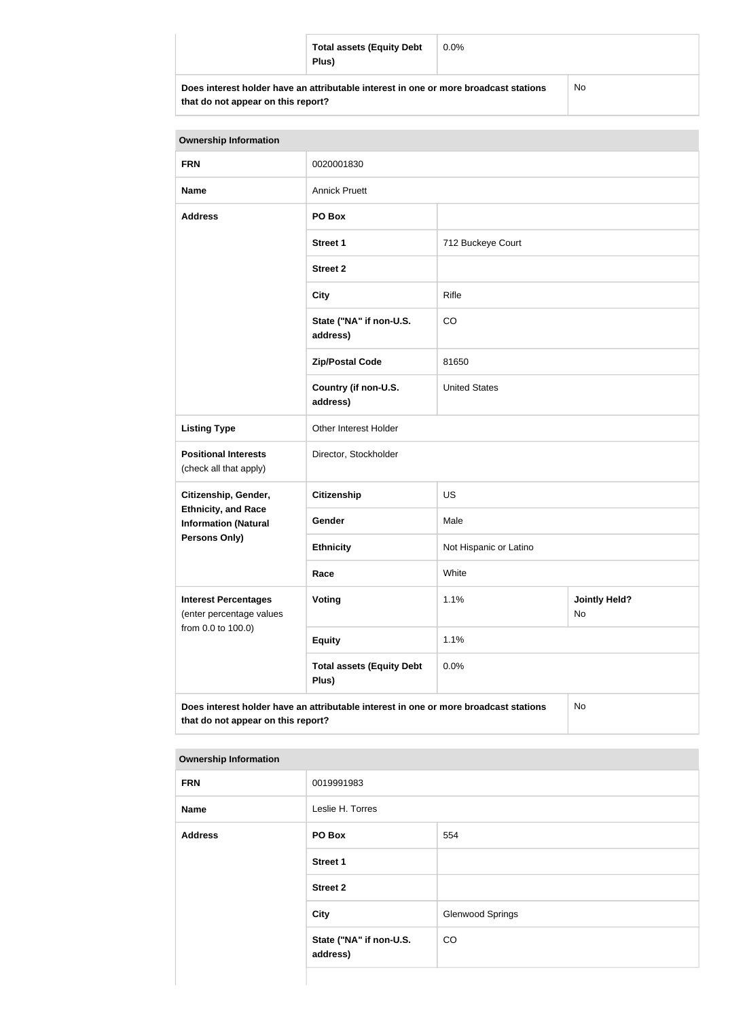| <b>Total assets (Equity Debt</b><br>Plus)                                            | $0.0\%$ |    |
|--------------------------------------------------------------------------------------|---------|----|
| Does interest holder have an attributable interest in one or more broadcast stations |         | No |

| that do not appear on this report? |  |  |  |  |
|------------------------------------|--|--|--|--|
|------------------------------------|--|--|--|--|

| <b>Ownership Information</b>                                                                                                            |                                           |                                    |  |  |
|-----------------------------------------------------------------------------------------------------------------------------------------|-------------------------------------------|------------------------------------|--|--|
| <b>FRN</b>                                                                                                                              | 0020001830                                |                                    |  |  |
| <b>Name</b>                                                                                                                             | <b>Annick Pruett</b>                      |                                    |  |  |
| <b>Address</b>                                                                                                                          | PO Box                                    |                                    |  |  |
|                                                                                                                                         | <b>Street 1</b>                           | 712 Buckeye Court                  |  |  |
|                                                                                                                                         | <b>Street 2</b>                           |                                    |  |  |
|                                                                                                                                         | <b>City</b>                               | Rifle                              |  |  |
|                                                                                                                                         | State ("NA" if non-U.S.<br>address)       | CO                                 |  |  |
|                                                                                                                                         | <b>Zip/Postal Code</b>                    | 81650                              |  |  |
|                                                                                                                                         | Country (if non-U.S.<br>address)          | <b>United States</b>               |  |  |
| <b>Listing Type</b>                                                                                                                     | Other Interest Holder                     |                                    |  |  |
| <b>Positional Interests</b><br>(check all that apply)                                                                                   | Director, Stockholder                     |                                    |  |  |
| Citizenship, Gender,                                                                                                                    | <b>Citizenship</b>                        | <b>US</b>                          |  |  |
| <b>Ethnicity, and Race</b><br><b>Information (Natural</b>                                                                               | Gender                                    | Male                               |  |  |
| <b>Persons Only)</b>                                                                                                                    | <b>Ethnicity</b>                          | Not Hispanic or Latino             |  |  |
|                                                                                                                                         | Race                                      | White                              |  |  |
| <b>Interest Percentages</b><br>(enter percentage values<br>from 0.0 to 100.0)                                                           | Voting                                    | 1.1%<br><b>Jointly Held?</b><br>No |  |  |
|                                                                                                                                         | <b>Equity</b>                             | 1.1%                               |  |  |
|                                                                                                                                         | <b>Total assets (Equity Debt</b><br>Plus) | 0.0%                               |  |  |
| Does interest holder have an attributable interest in one or more broadcast stations<br><b>No</b><br>that do not appear on this report? |                                           |                                    |  |  |

| <b>Ownership Information</b> |
|------------------------------|
|                              |

| <b>FRN</b>     | 0019991983                          |                         |
|----------------|-------------------------------------|-------------------------|
| <b>Name</b>    | Leslie H. Torres                    |                         |
| <b>Address</b> | PO Box                              | 554                     |
|                | <b>Street 1</b>                     |                         |
|                | <b>Street 2</b>                     |                         |
|                | City                                | <b>Glenwood Springs</b> |
|                | State ("NA" if non-U.S.<br>address) | CO                      |
|                |                                     |                         |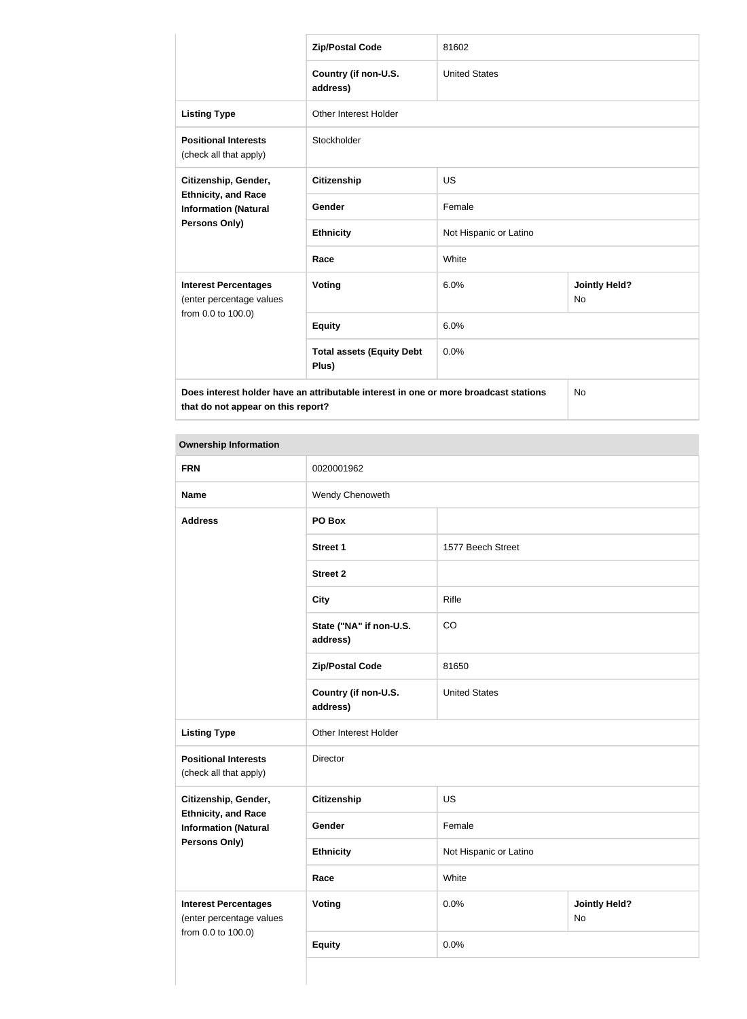|                                                                                                                            | <b>Zip/Postal Code</b>                    | 81602                  |                                   |  |
|----------------------------------------------------------------------------------------------------------------------------|-------------------------------------------|------------------------|-----------------------------------|--|
|                                                                                                                            | Country (if non-U.S.<br>address)          | <b>United States</b>   |                                   |  |
| <b>Listing Type</b>                                                                                                        | <b>Other Interest Holder</b>              |                        |                                   |  |
| <b>Positional Interests</b><br>(check all that apply)                                                                      | Stockholder                               |                        |                                   |  |
| Citizenship, Gender,<br><b>Ethnicity, and Race</b><br><b>Information (Natural</b>                                          | <b>Citizenship</b>                        | <b>US</b>              |                                   |  |
|                                                                                                                            | Gender                                    | Female                 |                                   |  |
| Persons Only)                                                                                                              | <b>Ethnicity</b>                          | Not Hispanic or Latino |                                   |  |
|                                                                                                                            | Race                                      | White                  |                                   |  |
| <b>Interest Percentages</b><br>(enter percentage values                                                                    | Voting                                    | 6.0%                   | <b>Jointly Held?</b><br><b>No</b> |  |
| from 0.0 to 100.0)                                                                                                         | <b>Equity</b>                             | 6.0%                   |                                   |  |
|                                                                                                                            | <b>Total assets (Equity Debt</b><br>Plus) | 0.0%                   |                                   |  |
| Does interest holder have an attributable interest in one or more broadcast stations<br>that do not appear on this report? |                                           |                        | <b>No</b>                         |  |

| <b>Ownership Information</b>                                                  |                                     |                        |                            |
|-------------------------------------------------------------------------------|-------------------------------------|------------------------|----------------------------|
| <b>FRN</b>                                                                    | 0020001962                          |                        |                            |
| <b>Name</b>                                                                   | Wendy Chenoweth                     |                        |                            |
| <b>Address</b>                                                                | PO Box                              |                        |                            |
|                                                                               | <b>Street 1</b>                     | 1577 Beech Street      |                            |
|                                                                               | <b>Street 2</b>                     |                        |                            |
|                                                                               | <b>City</b>                         | Rifle                  |                            |
|                                                                               | State ("NA" if non-U.S.<br>address) | CO                     |                            |
|                                                                               | <b>Zip/Postal Code</b>              | 81650                  |                            |
|                                                                               | Country (if non-U.S.<br>address)    | <b>United States</b>   |                            |
| <b>Listing Type</b>                                                           | Other Interest Holder               |                        |                            |
| <b>Positional Interests</b><br>(check all that apply)                         | Director                            |                        |                            |
| Citizenship, Gender,                                                          | <b>Citizenship</b>                  | <b>US</b>              |                            |
| <b>Ethnicity, and Race</b><br><b>Information (Natural</b>                     | Gender                              | Female                 |                            |
| Persons Only)                                                                 | <b>Ethnicity</b>                    | Not Hispanic or Latino |                            |
|                                                                               | Race                                | White                  |                            |
| <b>Interest Percentages</b><br>(enter percentage values<br>from 0.0 to 100.0) | <b>Voting</b>                       | 0.0%                   | <b>Jointly Held?</b><br>No |
|                                                                               | <b>Equity</b>                       | 0.0%                   |                            |
|                                                                               |                                     |                        |                            |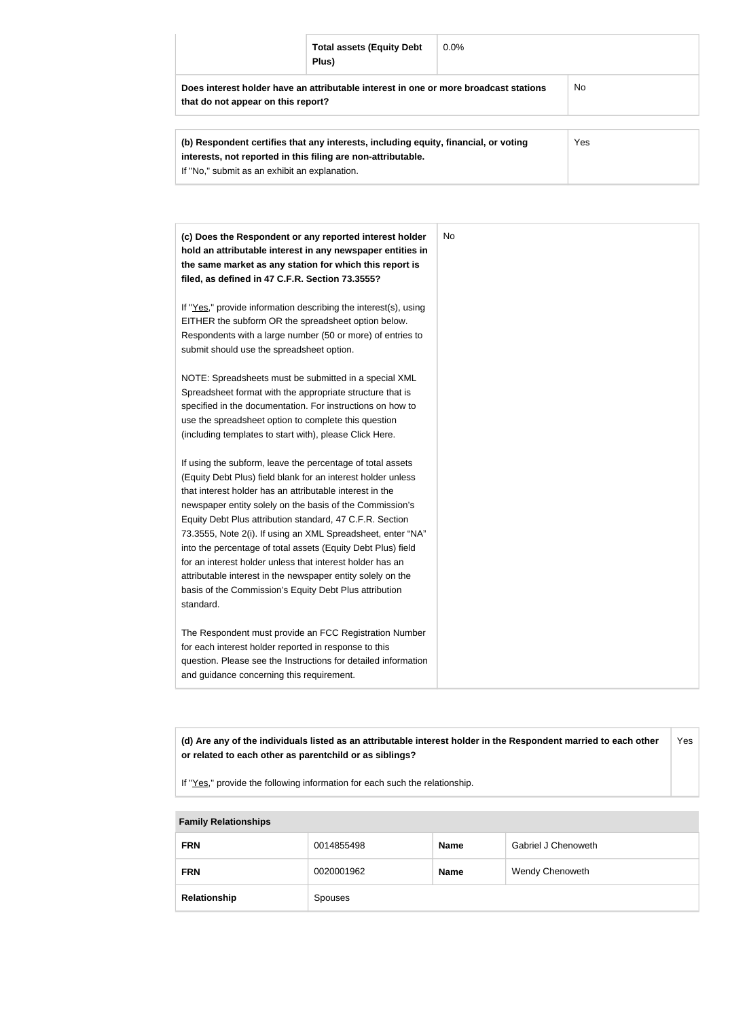|                                                                                         | <b>Total assets (Equity Debt</b><br>Plus)                                            | $0.0\%$ |    |
|-----------------------------------------------------------------------------------------|--------------------------------------------------------------------------------------|---------|----|
| that do not appear on this report?                                                      | Does interest holder have an attributable interest in one or more broadcast stations |         | No |
|                                                                                         |                                                                                      |         |    |
| V∆c<br>(b) Poenandant cortifies that any interests including equity financial or voting |                                                                                      |         |    |

| (b) Respondent certifies that any interests, including equity, financial, or voting | Yes |
|-------------------------------------------------------------------------------------|-----|
| interests, not reported in this filing are non-attributable.                        |     |
| If "No," submit as an exhibit an explanation.                                       |     |

| (c) Does the Respondent or any reported interest holder         | <b>No</b> |
|-----------------------------------------------------------------|-----------|
| hold an attributable interest in any newspaper entities in      |           |
| the same market as any station for which this report is         |           |
| filed, as defined in 47 C.F.R. Section 73.3555?                 |           |
| If "Yes," provide information describing the interest(s), using |           |
| EITHER the subform OR the spreadsheet option below.             |           |
| Respondents with a large number (50 or more) of entries to      |           |
| submit should use the spreadsheet option.                       |           |
| NOTE: Spreadsheets must be submitted in a special XML           |           |
| Spreadsheet format with the appropriate structure that is       |           |
| specified in the documentation. For instructions on how to      |           |
| use the spreadsheet option to complete this question            |           |
| (including templates to start with), please Click Here.         |           |
| If using the subform, leave the percentage of total assets      |           |
| (Equity Debt Plus) field blank for an interest holder unless    |           |
| that interest holder has an attributable interest in the        |           |
| newspaper entity solely on the basis of the Commission's        |           |
| Equity Debt Plus attribution standard, 47 C.F.R. Section        |           |
| 73.3555, Note 2(i). If using an XML Spreadsheet, enter "NA"     |           |
| into the percentage of total assets (Equity Debt Plus) field    |           |
| for an interest holder unless that interest holder has an       |           |
| attributable interest in the newspaper entity solely on the     |           |
| basis of the Commission's Equity Debt Plus attribution          |           |
| standard.                                                       |           |
| The Respondent must provide an FCC Registration Number          |           |
| for each interest holder reported in response to this           |           |
| question. Please see the Instructions for detailed information  |           |
| and guidance concerning this requirement.                       |           |

**(d) Are any of the individuals listed as an attributable interest holder in the Respondent married to each other or related to each other as parentchild or as siblings?** Yes

If "Yes," provide the following information for each such the relationship.

| <b>Family Relationships</b> |            |             |                     |
|-----------------------------|------------|-------------|---------------------|
| <b>FRN</b>                  | 0014855498 | <b>Name</b> | Gabriel J Chenoweth |
| <b>FRN</b>                  | 0020001962 | <b>Name</b> | Wendy Chenoweth     |
| Relationship                | Spouses    |             |                     |